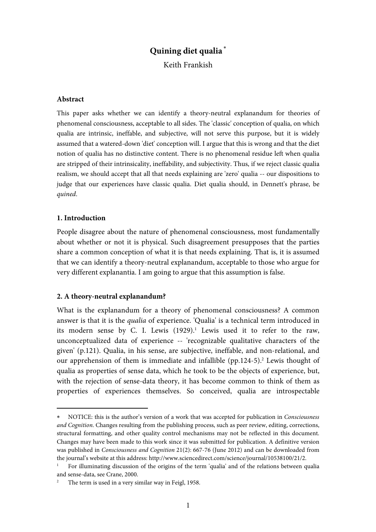# **Quining diet qualia** <sup>∗</sup>

Keith Frankish

#### **Abstract**

This paper asks whether we can identify a theory-neutral explanandum for theories of phenomenal consciousness, acceptable to all sides. The 'classic' conception of qualia, on which qualia are intrinsic, ineffable, and subjective, will not serve this purpose, but it is widely assumed that a watered-down 'diet' conception will. I argue that this is wrong and that the diet notion of qualia has no distinctive content. There is no phenomenal residue left when qualia are stripped of their intrinsicality, ineffability, and subjectivity. Thus, if we reject classic qualia realism, we should accept that all that needs explaining are 'zero' qualia -- our dispositions to judge that our experiences have classic qualia. Diet qualia should, in Dennett's phrase, be quined.

# **1. Introduction**

-

People disagree about the nature of phenomenal consciousness, most fundamentally about whether or not it is physical. Such disagreement presupposes that the parties share a common conception of what it is that needs explaining. That is, it is assumed that we can identify a theory-neutral explanandum, acceptable to those who argue for very different explanantia. I am going to argue that this assumption is false.

# **2. A theory-neutral explanandum?**

What is the explanandum for a theory of phenomenal consciousness? A common answer is that it is the qualia of experience. 'Qualia' is a technical term introduced in its modern sense by C. I. Lewis  $(1929)^1$ . Lewis used it to refer to the raw, unconceptualized data of experience -- 'recognizable qualitative characters of the given' (p.121). Qualia, in his sense, are subjective, ineffable, and non-relational, and our apprehension of them is immediate and infallible (pp.124-5).<sup>2</sup> Lewis thought of qualia as properties of sense data, which he took to be the objects of experience, but, with the rejection of sense-data theory, it has become common to think of them as properties of experiences themselves. So conceived, qualia are introspectable

NOTICE: this is the author's version of a work that was accepted for publication in Consciousness and Cognition. Changes resulting from the publishing process, such as peer review, editing, corrections, structural formatting, and other quality control mechanisms may not be reflected in this document. Changes may have been made to this work since it was submitted for publication. A definitive version was published in Consciousness and Cognition 21(2): 667-76 (June 2012) and can be downloaded from the journal's website at this address: http://www.sciencedirect.com/science/journal/10538100/21/2.

<sup>1</sup> For illuminating discussion of the origins of the term 'qualia' and of the relations between qualia and sense-data, see Crane, 2000.

<sup>&</sup>lt;sup>2</sup> The term is used in a very similar way in Feigl, 1958.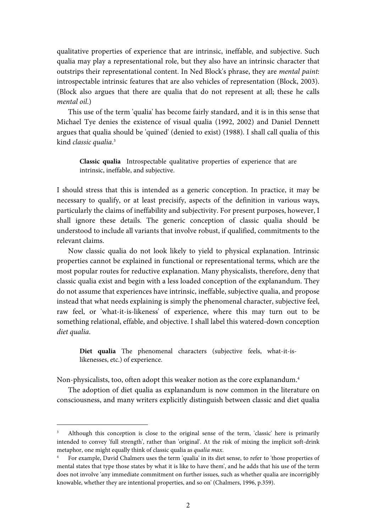qualitative properties of experience that are intrinsic, ineffable, and subjective. Such qualia may play a representational role, but they also have an intrinsic character that outstrips their representational content. In Ned Block's phrase, they are mental paint: introspectable intrinsic features that are also vehicles of representation (Block, 2003). (Block also argues that there are qualia that do not represent at all; these he calls mental oil.)

 This use of the term 'qualia' has become fairly standard, and it is in this sense that Michael Tye denies the existence of visual qualia (1992, 2002) and Daniel Dennett argues that qualia should be 'quined' (denied to exist) (1988). I shall call qualia of this kind classic qualia. 3

**Classic qualia** Introspectable qualitative properties of experience that are intrinsic, ineffable, and subjective.

I should stress that this is intended as a generic conception. In practice, it may be necessary to qualify, or at least precisify, aspects of the definition in various ways, particularly the claims of ineffability and subjectivity. For present purposes, however, I shall ignore these details. The generic conception of classic qualia should be understood to include all variants that involve robust, if qualified, commitments to the relevant claims.

 Now classic qualia do not look likely to yield to physical explanation. Intrinsic properties cannot be explained in functional or representational terms, which are the most popular routes for reductive explanation. Many physicalists, therefore, deny that classic qualia exist and begin with a less loaded conception of the explanandum. They do not assume that experiences have intrinsic, ineffable, subjective qualia, and propose instead that what needs explaining is simply the phenomenal character, subjective feel, raw feel, or 'what-it-is-likeness' of experience, where this may turn out to be something relational, effable, and objective. I shall label this watered-down conception diet qualia.

**Diet qualia** The phenomenal characters (subjective feels, what-it-islikenesses, etc.) of experience.

Non-physicalists, too, often adopt this weaker notion as the core explanandum.<sup>4</sup>

 $\overline{a}$ 

 The adoption of diet qualia as explanandum is now common in the literature on consciousness, and many writers explicitly distinguish between classic and diet qualia

<sup>3</sup> Although this conception is close to the original sense of the term, 'classic' here is primarily intended to convey 'full strength', rather than 'original'. At the risk of mixing the implicit soft-drink metaphor, one might equally think of classic qualia as qualia max.

<sup>4</sup> For example, David Chalmers uses the term 'qualia' in its diet sense, to refer to 'those properties of mental states that type those states by what it is like to have them', and he adds that his use of the term does not involve 'any immediate commitment on further issues, such as whether qualia are incorrigibly knowable, whether they are intentional properties, and so on' (Chalmers, 1996, p.359).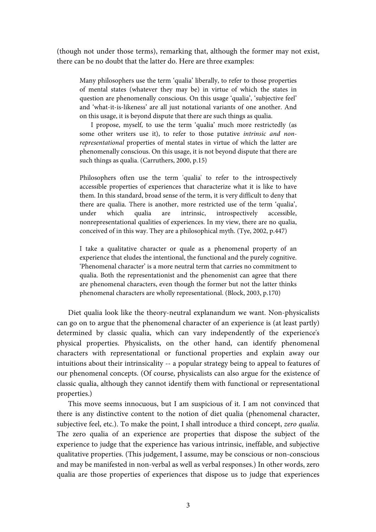(though not under those terms), remarking that, although the former may not exist, there can be no doubt that the latter do. Here are three examples:

Many philosophers use the term 'qualia' liberally, to refer to those properties of mental states (whatever they may be) in virtue of which the states in question are phenomenally conscious. On this usage 'qualia', 'subjective feel' and 'what-it-is-likeness' are all just notational variants of one another. And on this usage, it is beyond dispute that there are such things as qualia.

 I propose, myself, to use the term 'qualia' much more restrictedly (as some other writers use it), to refer to those putative intrinsic and nonrepresentational properties of mental states in virtue of which the latter are phenomenally conscious. On this usage, it is not beyond dispute that there are such things as qualia. (Carruthers, 2000, p.15)

Philosophers often use the term 'qualia' to refer to the introspectively accessible properties of experiences that characterize what it is like to have them. In this standard, broad sense of the term, it is very difficult to deny that there are qualia. There is another, more restricted use of the term 'qualia', under which qualia are intrinsic, introspectively accessible, nonrepresentational qualities of experiences. In my view, there are no qualia, conceived of in this way. They are a philosophical myth. (Tye, 2002, p.447)

I take a qualitative character or quale as a phenomenal property of an experience that eludes the intentional, the functional and the purely cognitive. 'Phenomenal character' is a more neutral term that carries no commitment to qualia. Both the representationist and the phenomenist can agree that there are phenomenal characters, even though the former but not the latter thinks phenomenal characters are wholly representational. (Block, 2003, p.170)

 Diet qualia look like the theory-neutral explanandum we want. Non-physicalists can go on to argue that the phenomenal character of an experience is (at least partly) determined by classic qualia, which can vary independently of the experience's physical properties. Physicalists, on the other hand, can identify phenomenal characters with representational or functional properties and explain away our intuitions about their intrinsicality -- a popular strategy being to appeal to features of our phenomenal concepts. (Of course, physicalists can also argue for the existence of classic qualia, although they cannot identify them with functional or representational properties.)

 This move seems innocuous, but I am suspicious of it. I am not convinced that there is any distinctive content to the notion of diet qualia (phenomenal character, subjective feel, etc.). To make the point, I shall introduce a third concept, zero qualia. The zero qualia of an experience are properties that dispose the subject of the experience to judge that the experience has various intrinsic, ineffable, and subjective qualitative properties. (This judgement, I assume, may be conscious or non-conscious and may be manifested in non-verbal as well as verbal responses.) In other words, zero qualia are those properties of experiences that dispose us to judge that experiences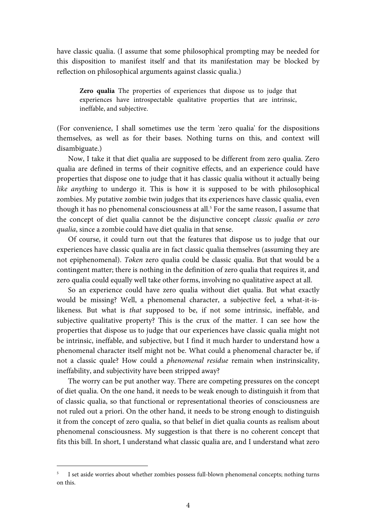have classic qualia. (I assume that some philosophical prompting may be needed for this disposition to manifest itself and that its manifestation may be blocked by reflection on philosophical arguments against classic qualia.)

**Zero qualia** The properties of experiences that dispose us to judge that experiences have introspectable qualitative properties that are intrinsic, ineffable, and subjective.

(For convenience, I shall sometimes use the term 'zero qualia' for the dispositions themselves, as well as for their bases. Nothing turns on this, and context will disambiguate.)

 Now, I take it that diet qualia are supposed to be different from zero qualia. Zero qualia are defined in terms of their cognitive effects, and an experience could have properties that dispose one to judge that it has classic qualia without it actually being like anything to undergo it. This is how it is supposed to be with philosophical zombies. My putative zombie twin judges that its experiences have classic qualia, even though it has no phenomenal consciousness at all.<sup>5</sup> For the same reason, I assume that the concept of diet qualia cannot be the disjunctive concept classic qualia or zero qualia, since a zombie could have diet qualia in that sense.

 Of course, it could turn out that the features that dispose us to judge that our experiences have classic qualia are in fact classic qualia themselves (assuming they are not epiphenomenal). Token zero qualia could be classic qualia. But that would be a contingent matter; there is nothing in the definition of zero qualia that requires it, and zero qualia could equally well take other forms, involving no qualitative aspect at all.

 So an experience could have zero qualia without diet qualia. But what exactly would be missing? Well, a phenomenal character, a subjective feel, a what-it-islikeness. But what is that supposed to be, if not some intrinsic, ineffable, and subjective qualitative property? This is the crux of the matter. I can see how the properties that dispose us to judge that our experiences have classic qualia might not be intrinsic, ineffable, and subjective, but I find it much harder to understand how a phenomenal character itself might not be. What could a phenomenal character be, if not a classic quale? How could a phenomenal residue remain when instrinsicality, ineffability, and subjectivity have been stripped away?

 The worry can be put another way. There are competing pressures on the concept of diet qualia. On the one hand, it needs to be weak enough to distinguish it from that of classic qualia, so that functional or representational theories of consciousness are not ruled out a priori. On the other hand, it needs to be strong enough to distinguish it from the concept of zero qualia, so that belief in diet qualia counts as realism about phenomenal consciousness. My suggestion is that there is no coherent concept that fits this bill. In short, I understand what classic qualia are, and I understand what zero

-

<sup>&</sup>lt;sup>5</sup> I set aside worries about whether zombies possess full-blown phenomenal concepts; nothing turns on this.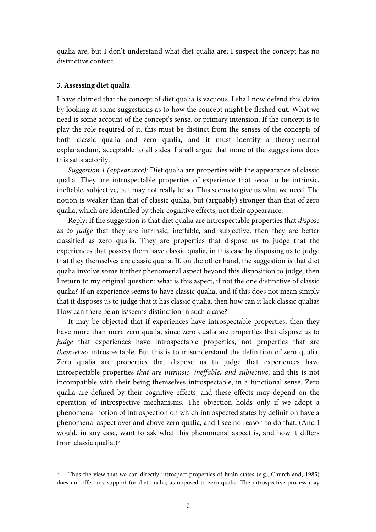qualia are, but I don't understand what diet qualia are; I suspect the concept has no distinctive content.

## **3. Assessing diet qualia**

-

I have claimed that the concept of diet qualia is vacuous. I shall now defend this claim by looking at some suggestions as to how the concept might be fleshed out. What we need is some account of the concept's sense, or primary intension. If the concept is to play the role required of it, this must be distinct from the senses of the concepts of both classic qualia and zero qualia, and it must identify a theory-neutral explanandum, acceptable to all sides. I shall argue that none of the suggestions does this satisfactorily.

 Suggestion 1 (appearance): Diet qualia are properties with the appearance of classic qualia. They are introspectable properties of experience that seem to be intrinsic, ineffable, subjective, but may not really be so. This seems to give us what we need. The notion is weaker than that of classic qualia, but (arguably) stronger than that of zero qualia, which are identified by their cognitive effects, not their appearance.

 Reply: If the suggestion is that diet qualia are introspectable properties that dispose us to judge that they are intrinsic, ineffable, and subjective, then they are better classified as zero qualia. They are properties that dispose us to judge that the experiences that possess them have classic qualia, in this case by disposing us to judge that they themselves are classic qualia. If, on the other hand, the suggestion is that diet qualia involve some further phenomenal aspect beyond this disposition to judge, then I return to my original question: what is this aspect, if not the one distinctive of classic qualia? If an experience seems to have classic qualia, and if this does not mean simply that it disposes us to judge that it has classic qualia, then how can it lack classic qualia? How can there be an is/seems distinction in such a case?

 It may be objected that if experiences have introspectable properties, then they have more than mere zero qualia, since zero qualia are properties that dispose us to judge that experiences have introspectable properties, not properties that are themselves introspectable. But this is to misunderstand the definition of zero qualia. Zero qualia are properties that dispose us to judge that experiences have introspectable properties that are intrinsic, ineffable, and subjective, and this is not incompatible with their being themselves introspectable, in a functional sense. Zero qualia are defined by their cognitive effects, and these effects may depend on the operation of introspective mechanisms. The objection holds only if we adopt a phenomenal notion of introspection on which introspected states by definition have a phenomenal aspect over and above zero qualia, and I see no reason to do that. (And I would, in any case, want to ask what this phenomenal aspect is, and how it differs from classic qualia.)<sup>6</sup>

<sup>&</sup>lt;sup>6</sup> Thus the view that we can directly introspect properties of brain states (e.g., Churchland, 1985) does not offer any support for diet qualia, as opposed to zero qualia. The introspective process may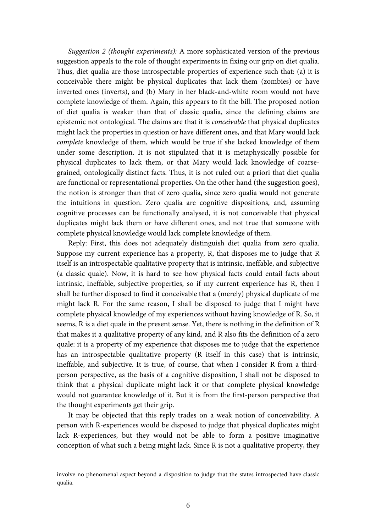Suggestion 2 (thought experiments): A more sophisticated version of the previous suggestion appeals to the role of thought experiments in fixing our grip on diet qualia. Thus, diet qualia are those introspectable properties of experience such that: (a) it is conceivable there might be physical duplicates that lack them (zombies) or have inverted ones (inverts), and (b) Mary in her black-and-white room would not have complete knowledge of them. Again, this appears to fit the bill. The proposed notion of diet qualia is weaker than that of classic qualia, since the defining claims are epistemic not ontological. The claims are that it is conceivable that physical duplicates might lack the properties in question or have different ones, and that Mary would lack complete knowledge of them, which would be true if she lacked knowledge of them under some description. It is not stipulated that it is metaphysically possible for physical duplicates to lack them, or that Mary would lack knowledge of coarsegrained, ontologically distinct facts. Thus, it is not ruled out a priori that diet qualia are functional or representational properties. On the other hand (the suggestion goes), the notion is stronger than that of zero qualia, since zero qualia would not generate the intuitions in question. Zero qualia are cognitive dispositions, and, assuming cognitive processes can be functionally analysed, it is not conceivable that physical duplicates might lack them or have different ones, and not true that someone with complete physical knowledge would lack complete knowledge of them.

 Reply: First, this does not adequately distinguish diet qualia from zero qualia. Suppose my current experience has a property, R, that disposes me to judge that R itself is an introspectable qualitative property that is intrinsic, ineffable, and subjective (a classic quale). Now, it is hard to see how physical facts could entail facts about intrinsic, ineffable, subjective properties, so if my current experience has R, then I shall be further disposed to find it conceivable that a (merely) physical duplicate of me might lack R. For the same reason, I shall be disposed to judge that I might have complete physical knowledge of my experiences without having knowledge of R. So, it seems, R is a diet quale in the present sense. Yet, there is nothing in the definition of R that makes it a qualitative property of any kind, and R also fits the definition of a zero quale: it is a property of my experience that disposes me to judge that the experience has an introspectable qualitative property (R itself in this case) that is intrinsic, ineffable, and subjective. It is true, of course, that when I consider R from a thirdperson perspective, as the basis of a cognitive disposition, I shall not be disposed to think that a physical duplicate might lack it or that complete physical knowledge would not guarantee knowledge of it. But it is from the first-person perspective that the thought experiments get their grip.

 It may be objected that this reply trades on a weak notion of conceivability. A person with R-experiences would be disposed to judge that physical duplicates might lack R-experiences, but they would not be able to form a positive imaginative conception of what such a being might lack. Since R is not a qualitative property, they

-

involve no phenomenal aspect beyond a disposition to judge that the states introspected have classic qualia.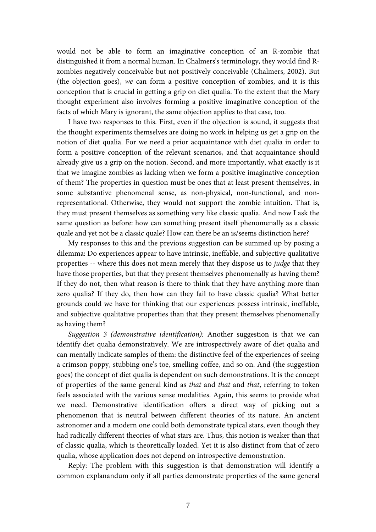would not be able to form an imaginative conception of an R-zombie that distinguished it from a normal human. In Chalmers's terminology, they would find Rzombies negatively conceivable but not positively conceivable (Chalmers, 2002). But (the objection goes), we can form a positive conception of zombies, and it is this conception that is crucial in getting a grip on diet qualia. To the extent that the Mary thought experiment also involves forming a positive imaginative conception of the facts of which Mary is ignorant, the same objection applies to that case, too.

 I have two responses to this. First, even if the objection is sound, it suggests that the thought experiments themselves are doing no work in helping us get a grip on the notion of diet qualia. For we need a prior acquaintance with diet qualia in order to form a positive conception of the relevant scenarios, and that acquaintance should already give us a grip on the notion. Second, and more importantly, what exactly is it that we imagine zombies as lacking when we form a positive imaginative conception of them? The properties in question must be ones that at least present themselves, in some substantive phenomenal sense, as non-physical, non-functional, and nonrepresentational. Otherwise, they would not support the zombie intuition. That is, they must present themselves as something very like classic qualia. And now I ask the same question as before: how can something present itself phenomenally as a classic quale and yet not be a classic quale? How can there be an is/seems distinction here?

 My responses to this and the previous suggestion can be summed up by posing a dilemma: Do experiences appear to have intrinsic, ineffable, and subjective qualitative properties -- where this does not mean merely that they dispose us to judge that they have those properties, but that they present themselves phenomenally as having them? If they do not, then what reason is there to think that they have anything more than zero qualia? If they do, then how can they fail to have classic qualia? What better grounds could we have for thinking that our experiences possess intrinsic, ineffable, and subjective qualitative properties than that they present themselves phenomenally as having them?

 Suggestion 3 (demonstrative identification): Another suggestion is that we can identify diet qualia demonstratively. We are introspectively aware of diet qualia and can mentally indicate samples of them: the distinctive feel of the experiences of seeing a crimson poppy, stubbing one's toe, smelling coffee, and so on. And (the suggestion goes) the concept of diet qualia is dependent on such demonstrations. It is the concept of properties of the same general kind as that and that and that, referring to token feels associated with the various sense modalities. Again, this seems to provide what we need. Demonstrative identification offers a direct way of picking out a phenomenon that is neutral between different theories of its nature. An ancient astronomer and a modern one could both demonstrate typical stars, even though they had radically different theories of what stars are. Thus, this notion is weaker than that of classic qualia, which is theoretically loaded. Yet it is also distinct from that of zero qualia, whose application does not depend on introspective demonstration.

 Reply: The problem with this suggestion is that demonstration will identify a common explanandum only if all parties demonstrate properties of the same general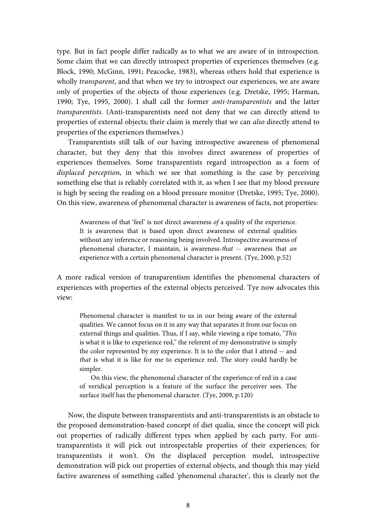type. But in fact people differ radically as to what we are aware of in introspection. Some claim that we can directly introspect properties of experiences themselves (e.g. Block, 1990; McGinn, 1991; Peacocke, 1983), whereas others hold that experience is wholly transparent, and that when we try to introspect our experiences, we are aware only of properties of the objects of those experiences (e.g. Dretske, 1995; Harman, 1990; Tye, 1995, 2000). I shall call the former anti-transparentists and the latter transparentists. (Anti-transparentists need not deny that we can directly attend to properties of external objects; their claim is merely that we can also directly attend to properties of the experiences themselves.)

 Transparentists still talk of our having introspective awareness of phenomenal character, but they deny that this involves direct awareness of properties of experiences themselves. Some transparentists regard introspection as a form of displaced perception, in which we see that something is the case by perceiving something else that is reliably correlated with it, as when I see that my blood pressure is high by seeing the reading on a blood pressure monitor (Dretske, 1995; Tye, 2000). On this view, awareness of phenomenal character is awareness of facts, not properties:

Awareness of that 'feel' is not direct awareness of a quality of the experience. It is awareness that is based upon direct awareness of external qualities without any inference or reasoning being involved. Introspective awareness of phenomenal character, I maintain, is awareness-that -- awareness that an experience with a certain phenomenal character is present. (Tye, 2000, p.52)

A more radical version of transparentism identifies the phenomenal characters of experiences with properties of the external objects perceived. Tye now advocates this view:

Phenomenal character is manifest to us in our being aware of the external qualities. We cannot focus on it in any way that separates it from our focus on external things and qualities. Thus, if I say, while viewing a ripe tomato, "This is what it is like to experience red," the referent of my demonstrative is simply the color represented by my experience. It is to the color that I attend -- and that is what it is like for me to experience red. The story could hardly be simpler.

 On this view, the phenomenal character of the experience of red in a case of veridical perception is a feature of the surface the perceiver sees. The surface itself has the phenomenal character. (Tye, 2009, p.120)

 Now, the dispute between transparentists and anti-transparentists is an obstacle to the proposed demonstration-based concept of diet qualia, since the concept will pick out properties of radically different types when applied by each party. For antitransparentists it will pick out introspectable properties of their experiences; for transparentists it won't. On the displaced perception model, introspective demonstration will pick out properties of external objects, and though this may yield factive awareness of something called 'phenomenal character', this is clearly not the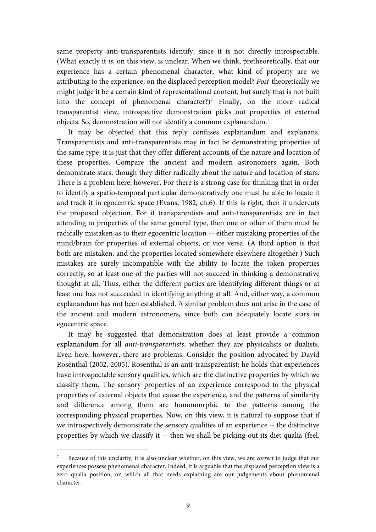same property anti-transparentists identify, since it is not directly introspectable. (What exactly it is, on this view, is unclear. When we think, pretheoretically, that our experience has a certain phenomenal character, what kind of property are we attributing to the experience, on the displaced perception model? Post-theoretically we might judge it be a certain kind of representational content, but surely that is not built into the concept of phenomenal character?)<sup>7</sup> Finally, on the more radical transparentist view, introspective demonstration picks out properties of external objects. So, demonstration will not identify a common explanandum.

 It may be objected that this reply confuses explanandum and explanans. Transparentists and anti-transparentists may in fact be demonstrating properties of the same type; it is just that they offer different accounts of the nature and location of these properties. Compare the ancient and modern astronomers again. Both demonstrate stars, though they differ radically about the nature and location of stars. There is a problem here, however. For there is a strong case for thinking that in order to identify a spatio-temporal particular demonstratively one must be able to locate it and track it in egocentric space (Evans, 1982, ch.6). If this is right, then it undercuts the proposed objection. For if transparentists and anti-transparentists are in fact attending to properties of the same general type, then one or other of them must be radically mistaken as to their egocentric location -- either mistaking properties of the mind/brain for properties of external objects, or vice versa. (A third option is that both are mistaken, and the properties located somewhere elsewhere altogether.) Such mistakes are surely incompatible with the ability to locate the token properties correctly, so at least one of the parties will not succeed in thinking a demonstrative thought at all. Thus, either the different parties are identifying different things or at least one has not succeeded in identifying anything at all. And, either way, a common explanandum has not been established. A similar problem does not arise in the case of the ancient and modern astronomers, since both can adequately locate stars in egocentric space.

 It may be suggested that demonstration does at least provide a common explanandum for all anti-transparentists, whether they are physicalists or dualists. Even here, however, there are problems. Consider the position advocated by David Rosenthal (2002, 2005). Rosenthal is an anti-transparentist; he holds that experiences have introspectable sensory qualities, which are the distinctive properties by which we classify them. The sensory properties of an experience correspond to the physical properties of external objects that cause the experience, and the patterns of similarity and difference among them are homomorphic to the patterns among the corresponding physical properties. Now, on this view, it is natural to suppose that if we introspectively demonstrate the sensory qualities of an experience -- the distinctive properties by which we classify it -- then we shall be picking out its diet qualia (feel,

 $\overline{a}$ 

<sup>7</sup> Because of this unclarity, it is also unclear whether, on this view, we are correct to judge that our experiences possess phenomenal character. Indeed, it is arguable that the displaced perception view is a zero qualia position, on which all that needs explaining are our judgements about phenomenal character.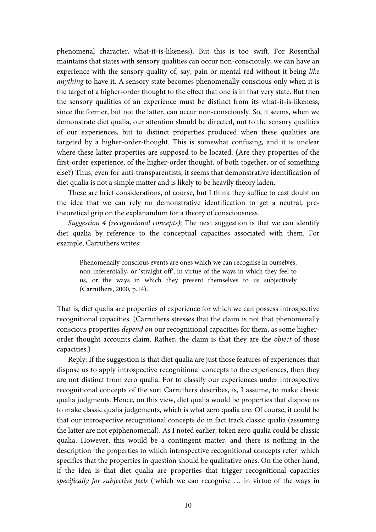phenomenal character, what-it-is-likeness). But this is too swift. For Rosenthal maintains that states with sensory qualities can occur non-consciously; we can have an experience with the sensory quality of, say, pain or mental red without it being *like* anything to have it. A sensory state becomes phenomenally conscious only when it is the target of a higher-order thought to the effect that one is in that very state. But then the sensory qualities of an experience must be distinct from its what-it-is-likeness, since the former, but not the latter, can occur non-consciously. So, it seems, when we demonstrate diet qualia, our attention should be directed, not to the sensory qualities of our experiences, but to distinct properties produced when these qualities are targeted by a higher-order-thought. This is somewhat confusing, and it is unclear where these latter properties are supposed to be located. (Are they properties of the first-order experience, of the higher-order thought, of both together, or of something else?) Thus, even for anti-transparentists, it seems that demonstrative identification of diet qualia is not a simple matter and is likely to be heavily theory laden.

 These are brief considerations, of course, but I think they suffice to cast doubt on the idea that we can rely on demonstrative identification to get a neutral, pretheoretical grip on the explanandum for a theory of consciousness.

 Suggestion 4 (recognitional concepts): The next suggestion is that we can identify diet qualia by reference to the conceptual capacities associated with them. For example, Carruthers writes:

Phenomenally conscious events are ones which we can recognise in ourselves, non-inferentially, or 'straight off', in virtue of the ways in which they feel to us, or the ways in which they present themselves to us subjectively (Carruthers, 2000, p.14).

That is, diet qualia are properties of experience for which we can possess introspective recognitional capacities. (Carruthers stresses that the claim is not that phenomenally conscious properties depend on our recognitional capacities for them, as some higherorder thought accounts claim. Rather, the claim is that they are the object of those capacities.)

 Reply: If the suggestion is that diet qualia are just those features of experiences that dispose us to apply introspective recognitional concepts to the experiences, then they are not distinct from zero qualia. For to classify our experiences under introspective recognitional concepts of the sort Carruthers describes, is, I assume, to make classic qualia judgments. Hence, on this view, diet qualia would be properties that dispose us to make classic qualia judgements, which is what zero qualia are. Of course, it could be that our introspective recognitional concepts do in fact track classic qualia (assuming the latter are not epiphenomenal). As I noted earlier, token zero qualia could be classic qualia. However, this would be a contingent matter, and there is nothing in the description 'the properties to which introspective recognitional concepts refer' which specifies that the properties in question should be qualitative ones. On the other hand, if the idea is that diet qualia are properties that trigger recognitional capacities specifically for subjective feels ('which we can recognise … in virtue of the ways in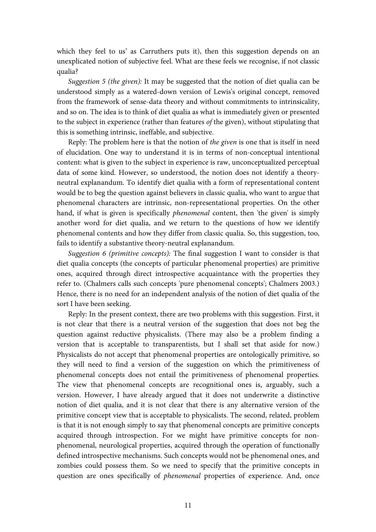which they feel to us' as Carruthers puts it), then this suggestion depends on an unexplicated notion of subjective feel. What are these feels we recognise, if not classic qualia?

 Suggestion 5 (the given): It may be suggested that the notion of diet qualia can be understood simply as a watered-down version of Lewis's original concept, removed from the framework of sense-data theory and without commitments to intrinsicality, and so on. The idea is to think of diet qualia as what is immediately given or presented to the subject in experience (rather than features of the given), without stipulating that this is something intrinsic, ineffable, and subjective.

 Reply: The problem here is that the notion of the given is one that is itself in need of elucidation. One way to understand it is in terms of non-conceptual intentional content: what is given to the subject in experience is raw, unconceptualized perceptual data of some kind. However, so understood, the notion does not identify a theoryneutral explanandum. To identify diet qualia with a form of representational content would be to beg the question against believers in classic qualia, who want to argue that phenomenal characters are intrinsic, non-representational properties. On the other hand, if what is given is specifically phenomenal content, then 'the given' is simply another word for diet qualia, and we return to the questions of how we identify phenomenal contents and how they differ from classic qualia. So, this suggestion, too, fails to identify a substantive theory-neutral explanandum.

 Suggestion 6 (primitive concepts): The final suggestion I want to consider is that diet qualia concepts (the concepts of particular phenomenal properties) are primitive ones, acquired through direct introspective acquaintance with the properties they refer to. (Chalmers calls such concepts 'pure phenomenal concepts'; Chalmers 2003.) Hence, there is no need for an independent analysis of the notion of diet qualia of the sort I have been seeking.

 Reply: In the present context, there are two problems with this suggestion. First, it is not clear that there is a neutral version of the suggestion that does not beg the question against reductive physicalists. (There may also be a problem finding a version that is acceptable to transparentists, but I shall set that aside for now.) Physicalists do not accept that phenomenal properties are ontologically primitive, so they will need to find a version of the suggestion on which the primitiveness of phenomenal concepts does not entail the primitiveness of phenomenal properties. The view that phenomenal concepts are recognitional ones is, arguably, such a version. However, I have already argued that it does not underwrite a distinctive notion of diet qualia, and it is not clear that there is any alternative version of the primitive concept view that is acceptable to physicalists. The second, related, problem is that it is not enough simply to say that phenomenal concepts are primitive concepts acquired through introspection. For we might have primitive concepts for nonphenomenal, neurological properties, acquired through the operation of functionally defined introspective mechanisms. Such concepts would not be phenomenal ones, and zombies could possess them. So we need to specify that the primitive concepts in question are ones specifically of phenomenal properties of experience. And, once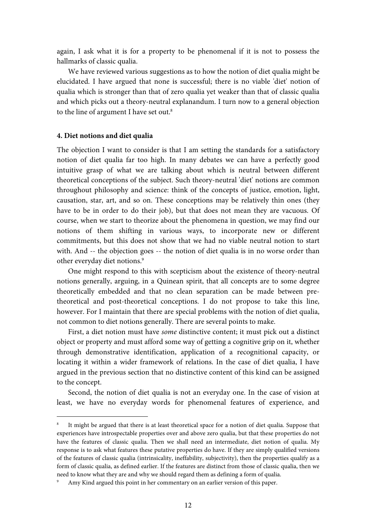again, I ask what it is for a property to be phenomenal if it is not to possess the hallmarks of classic qualia.

 We have reviewed various suggestions as to how the notion of diet qualia might be elucidated. I have argued that none is successful; there is no viable 'diet' notion of qualia which is stronger than that of zero qualia yet weaker than that of classic qualia and which picks out a theory-neutral explanandum. I turn now to a general objection to the line of argument I have set out. $8$ 

### **4. Diet notions and diet qualia**

-

The objection I want to consider is that I am setting the standards for a satisfactory notion of diet qualia far too high. In many debates we can have a perfectly good intuitive grasp of what we are talking about which is neutral between different theoretical conceptions of the subject. Such theory-neutral 'diet' notions are common throughout philosophy and science: think of the concepts of justice, emotion, light, causation, star, art, and so on. These conceptions may be relatively thin ones (they have to be in order to do their job), but that does not mean they are vacuous. Of course, when we start to theorize about the phenomena in question, we may find our notions of them shifting in various ways, to incorporate new or different commitments, but this does not show that we had no viable neutral notion to start with. And -- the objection goes -- the notion of diet qualia is in no worse order than other everyday diet notions.<sup>9</sup>

 One might respond to this with scepticism about the existence of theory-neutral notions generally, arguing, in a Quinean spirit, that all concepts are to some degree theoretically embedded and that no clean separation can be made between pretheoretical and post-theoretical conceptions. I do not propose to take this line, however. For I maintain that there are special problems with the notion of diet qualia, not common to diet notions generally. There are several points to make.

 First, a diet notion must have some distinctive content; it must pick out a distinct object or property and must afford some way of getting a cognitive grip on it, whether through demonstrative identification, application of a recognitional capacity, or locating it within a wider framework of relations. In the case of diet qualia, I have argued in the previous section that no distinctive content of this kind can be assigned to the concept.

 Second, the notion of diet qualia is not an everyday one. In the case of vision at least, we have no everyday words for phenomenal features of experience, and

<sup>8</sup> It might be argued that there is at least theoretical space for a notion of diet qualia. Suppose that experiences have introspectable properties over and above zero qualia, but that these properties do not have the features of classic qualia. Then we shall need an intermediate, diet notion of qualia. My response is to ask what features these putative properties do have. If they are simply qualified versions of the features of classic qualia (intrinsicality, ineffability, subjectivity), then the properties qualify as a form of classic qualia, as defined earlier. If the features are distinct from those of classic qualia, then we need to know what they are and why we should regard them as defining a form of qualia.

<sup>9</sup> Amy Kind argued this point in her commentary on an earlier version of this paper.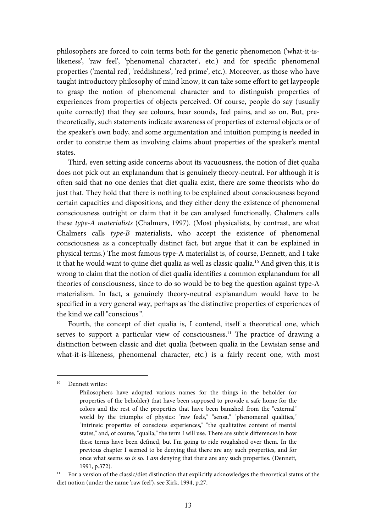philosophers are forced to coin terms both for the generic phenomenon ('what-it-islikeness', 'raw feel', 'phenomenal character', etc.) and for specific phenomenal properties ('mental red', 'reddishness', 'red prime', etc.). Moreover, as those who have taught introductory philosophy of mind know, it can take some effort to get laypeople to grasp the notion of phenomenal character and to distinguish properties of experiences from properties of objects perceived. Of course, people do say (usually quite correctly) that they see colours, hear sounds, feel pains, and so on. But, pretheoretically, such statements indicate awareness of properties of external objects or of the speaker's own body, and some argumentation and intuition pumping is needed in order to construe them as involving claims about properties of the speaker's mental states.

 Third, even setting aside concerns about its vacuousness, the notion of diet qualia does not pick out an explanandum that is genuinely theory-neutral. For although it is often said that no one denies that diet qualia exist, there are some theorists who do just that. They hold that there is nothing to be explained about consciousness beyond certain capacities and dispositions, and they either deny the existence of phenomenal consciousness outright or claim that it be can analysed functionally. Chalmers calls these type-A materialists (Chalmers, 1997). (Most physicalists, by contrast, are what Chalmers calls type-B materialists, who accept the existence of phenomenal consciousness as a conceptually distinct fact, but argue that it can be explained in physical terms.) The most famous type-A materialist is, of course, Dennett, and I take it that he would want to quine diet qualia as well as classic qualia.<sup>10</sup> And given this, it is wrong to claim that the notion of diet qualia identifies a common explanandum for all theories of consciousness, since to do so would be to beg the question against type-A materialism. In fact, a genuinely theory-neutral explanandum would have to be specified in a very general way, perhaps as 'the distinctive properties of experiences of the kind we call "conscious"'.

 Fourth, the concept of diet qualia is, I contend, itself a theoretical one, which serves to support a particular view of consciousness.<sup>11</sup> The practice of drawing a distinction between classic and diet qualia (between qualia in the Lewisian sense and what-it-is-likeness, phenomenal character, etc.) is a fairly recent one, with most

 $\overline{a}$ 

Dennett writes:

Philosophers have adopted various names for the things in the beholder (or properties of the beholder) that have been supposed to provide a safe home for the colors and the rest of the properties that have been banished from the "external" world by the triumphs of physics: "raw feels," "sensa," "phenomenal qualities," "intrinsic properties of conscious experiences," "the qualitative content of mental states," and, of course, "qualia," the term I will use. There are subtle differences in how these terms have been defined, but I'm going to ride roughshod over them. In the previous chapter I seemed to be denying that there are any such properties, and for once what seems so is so. I am denying that there are any such properties. (Dennett, 1991, p.372).

<sup>&</sup>lt;sup>11</sup> For a version of the classic/diet distinction that explicitly acknowledges the theoretical status of the diet notion (under the name 'raw feel'), see Kirk, 1994, p.27.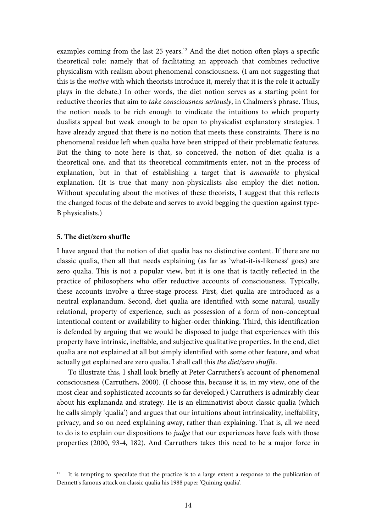examples coming from the last 25 years.<sup>12</sup> And the diet notion often plays a specific theoretical role: namely that of facilitating an approach that combines reductive physicalism with realism about phenomenal consciousness. (I am not suggesting that this is the motive with which theorists introduce it, merely that it is the role it actually plays in the debate.) In other words, the diet notion serves as a starting point for reductive theories that aim to take consciousness seriously, in Chalmers's phrase. Thus, the notion needs to be rich enough to vindicate the intuitions to which property dualists appeal but weak enough to be open to physicalist explanatory strategies. I have already argued that there is no notion that meets these constraints. There is no phenomenal residue left when qualia have been stripped of their problematic features. But the thing to note here is that, so conceived, the notion of diet qualia is a theoretical one, and that its theoretical commitments enter, not in the process of explanation, but in that of establishing a target that is amenable to physical explanation. (It is true that many non-physicalists also employ the diet notion. Without speculating about the motives of these theorists, I suggest that this reflects the changed focus of the debate and serves to avoid begging the question against type-B physicalists.)

#### **5. The diet/zero shuffle**

-

I have argued that the notion of diet qualia has no distinctive content. If there are no classic qualia, then all that needs explaining (as far as 'what-it-is-likeness' goes) are zero qualia. This is not a popular view, but it is one that is tacitly reflected in the practice of philosophers who offer reductive accounts of consciousness. Typically, these accounts involve a three-stage process. First, diet qualia are introduced as a neutral explanandum. Second, diet qualia are identified with some natural, usually relational, property of experience, such as possession of a form of non-conceptual intentional content or availability to higher-order thinking. Third, this identification is defended by arguing that we would be disposed to judge that experiences with this property have intrinsic, ineffable, and subjective qualitative properties. In the end, diet qualia are not explained at all but simply identified with some other feature, and what actually get explained are zero qualia. I shall call this the diet/zero shuffle.

 To illustrate this, I shall look briefly at Peter Carruthers's account of phenomenal consciousness (Carruthers, 2000). (I choose this, because it is, in my view, one of the most clear and sophisticated accounts so far developed.) Carruthers is admirably clear about his explananda and strategy. He is an eliminativist about classic qualia (which he calls simply 'qualia') and argues that our intuitions about intrinsicality, ineffability, privacy, and so on need explaining away, rather than explaining. That is, all we need to do is to explain our dispositions to judge that our experiences have feels with those properties (2000, 93-4, 182). And Carruthers takes this need to be a major force in

<sup>&</sup>lt;sup>12</sup> It is tempting to speculate that the practice is to a large extent a response to the publication of Dennett's famous attack on classic qualia his 1988 paper 'Quining qualia'.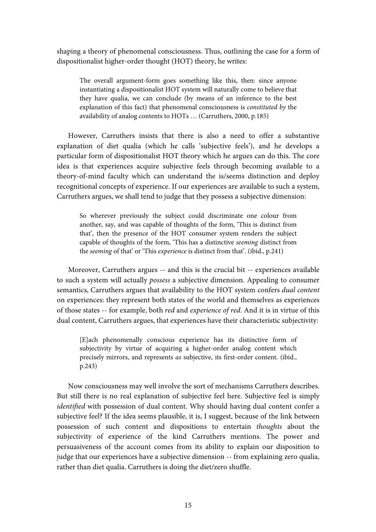shaping a theory of phenomenal consciousness. Thus, outlining the case for a form of dispositionalist higher-order thought (HOT) theory, he writes:

The overall argument-form goes something like this, then: since anyone instantiating a dispositionalist HOT system will naturally come to believe that they have qualia, we can conclude (by means of an inference to the best explanation of this fact) that phenomenal consciousness is constituted by the availability of analog contents to HOTs … (Carruthers, 2000, p.185)

 However, Carruthers insists that there is also a need to offer a substantive explanation of diet qualia (which he calls 'subjective feels'), and he develops a particular form of dispositionalist HOT theory which he argues can do this. The core idea is that experiences acquire subjective feels through becoming available to a theory-of-mind faculty which can understand the is/seems distinction and deploy recognitional concepts of experience. If our experiences are available to such a system, Carruthers argues, we shall tend to judge that they possess a subjective dimension:

So wherever previously the subject could discriminate one colour from another, say, and was capable of thoughts of the form, 'This is distinct from that', then the presence of the HOT consumer system renders the subject capable of thoughts of the form, 'This has a distinctive seeming distinct from the seeming of that' or 'This experience is distinct from that'. (ibid., p.241)

 Moreover, Carruthers argues -- and this is the crucial bit -- experiences available to such a system will actually possess a subjective dimension. Appealing to consumer semantics, Carruthers argues that availability to the HOT system confers dual content on experiences: they represent both states of the world and themselves as experiences of those states -- for example, both red and experience of red. And it is in virtue of this dual content, Carruthers argues, that experiences have their characteristic subjectivity:

[E]ach phenomenally conscious experience has its distinctive form of subjectivity by virtue of acquiring a higher-order analog content which precisely mirrors, and represents as subjective, its first-order content. (ibid., p.243)

 Now consciousness may well involve the sort of mechanisms Carruthers describes. But still there is no real explanation of subjective feel here. Subjective feel is simply identified with possession of dual content. Why should having dual content confer a subjective feel? If the idea seems plausible, it is, I suggest, because of the link between possession of such content and dispositions to entertain thoughts about the subjectivity of experience of the kind Carruthers mentions. The power and persuasiveness of the account comes from its ability to explain our disposition to judge that our experiences have a subjective dimension -- from explaining zero qualia, rather than diet qualia. Carruthers is doing the diet/zero shuffle.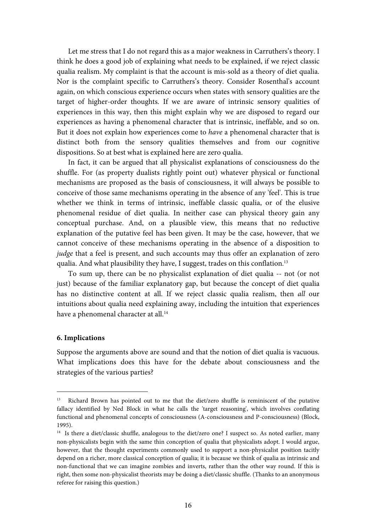Let me stress that I do not regard this as a major weakness in Carruthers's theory. I think he does a good job of explaining what needs to be explained, if we reject classic qualia realism. My complaint is that the account is mis-sold as a theory of diet qualia. Nor is the complaint specific to Carruthers's theory. Consider Rosenthal's account again, on which conscious experience occurs when states with sensory qualities are the target of higher-order thoughts. If we are aware of intrinsic sensory qualities of experiences in this way, then this might explain why we are disposed to regard our experiences as having a phenomenal character that is intrinsic, ineffable, and so on. But it does not explain how experiences come to have a phenomenal character that is distinct both from the sensory qualities themselves and from our cognitive dispositions. So at best what is explained here are zero qualia.

 In fact, it can be argued that all physicalist explanations of consciousness do the shuffle. For (as property dualists rightly point out) whatever physical or functional mechanisms are proposed as the basis of consciousness, it will always be possible to conceive of those same mechanisms operating in the absence of any 'feel'. This is true whether we think in terms of intrinsic, ineffable classic qualia, or of the elusive phenomenal residue of diet qualia. In neither case can physical theory gain any conceptual purchase. And, on a plausible view, this means that no reductive explanation of the putative feel has been given. It may be the case, however, that we cannot conceive of these mechanisms operating in the absence of a disposition to judge that a feel is present, and such accounts may thus offer an explanation of zero qualia. And what plausibility they have, I suggest, trades on this conflation.<sup>13</sup>

 To sum up, there can be no physicalist explanation of diet qualia -- not (or not just) because of the familiar explanatory gap, but because the concept of diet qualia has no distinctive content at all. If we reject classic qualia realism, then all our intuitions about qualia need explaining away, including the intuition that experiences have a phenomenal character at all.<sup>14</sup>

#### **6. Implications**

-

Suppose the arguments above are sound and that the notion of diet qualia is vacuous. What implications does this have for the debate about consciousness and the strategies of the various parties?

<sup>&</sup>lt;sup>13</sup> Richard Brown has pointed out to me that the diet/zero shuffle is reminiscent of the putative fallacy identified by Ned Block in what he calls the 'target reasoning', which involves conflating functional and phenomenal concepts of consciousness (A-consciousness and P-consciousness) (Block, 1995).

<sup>&</sup>lt;sup>14</sup> Is there a diet/classic shuffle, analogous to the diet/zero one? I suspect so. As noted earlier, many non-physicalists begin with the same thin conception of qualia that physicalists adopt. I would argue, however, that the thought experiments commonly used to support a non-physicalist position tacitly depend on a richer, more classical conception of qualia; it is because we think of qualia as intrinsic and non-functional that we can imagine zombies and inverts, rather than the other way round. If this is right, then some non-physicalist theorists may be doing a diet/classic shuffle. (Thanks to an anonymous referee for raising this question.)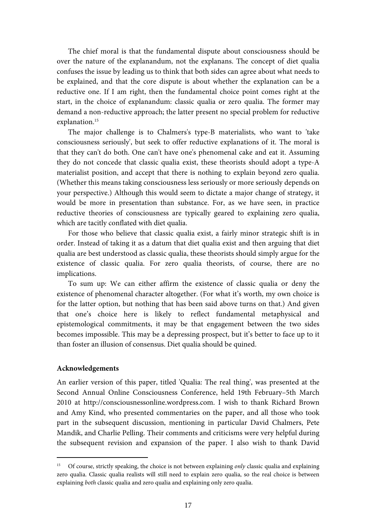The chief moral is that the fundamental dispute about consciousness should be over the nature of the explanandum, not the explanans. The concept of diet qualia confuses the issue by leading us to think that both sides can agree about what needs to be explained, and that the core dispute is about whether the explanation can be a reductive one. If I am right, then the fundamental choice point comes right at the start, in the choice of explanandum: classic qualia or zero qualia. The former may demand a non-reductive approach; the latter present no special problem for reductive explanation.<sup>15</sup>

 The major challenge is to Chalmers's type-B materialists, who want to 'take consciousness seriously', but seek to offer reductive explanations of it. The moral is that they can't do both. One can't have one's phenomenal cake and eat it. Assuming they do not concede that classic qualia exist, these theorists should adopt a type-A materialist position, and accept that there is nothing to explain beyond zero qualia. (Whether this means taking consciousness less seriously or more seriously depends on your perspective.) Although this would seem to dictate a major change of strategy, it would be more in presentation than substance. For, as we have seen, in practice reductive theories of consciousness are typically geared to explaining zero qualia, which are tacitly conflated with diet qualia.

 For those who believe that classic qualia exist, a fairly minor strategic shift is in order. Instead of taking it as a datum that diet qualia exist and then arguing that diet qualia are best understood as classic qualia, these theorists should simply argue for the existence of classic qualia. For zero qualia theorists, of course, there are no implications.

 To sum up: We can either affirm the existence of classic qualia or deny the existence of phenomenal character altogether. (For what it's worth, my own choice is for the latter option, but nothing that has been said above turns on that.) And given that one's choice here is likely to reflect fundamental metaphysical and epistemological commitments, it may be that engagement between the two sides becomes impossible. This may be a depressing prospect, but it's better to face up to it than foster an illusion of consensus. Diet qualia should be quined.

# **Acknowledgements**

-

An earlier version of this paper, titled 'Qualia: The real thing', was presented at the Second Annual Online Consciousness Conference, held 19th February–5th March 2010 at http://consciousnessonline.wordpress.com. I wish to thank Richard Brown and Amy Kind, who presented commentaries on the paper, and all those who took part in the subsequent discussion, mentioning in particular David Chalmers, Pete Mandik, and Charlie Pelling. Their comments and criticisms were very helpful during the subsequent revision and expansion of the paper. I also wish to thank David

<sup>&</sup>lt;sup>15</sup> Of course, strictly speaking, the choice is not between explaining *only* classic qualia and explaining zero qualia. Classic qualia realists will still need to explain zero qualia, so the real choice is between explaining both classic qualia and zero qualia and explaining only zero qualia.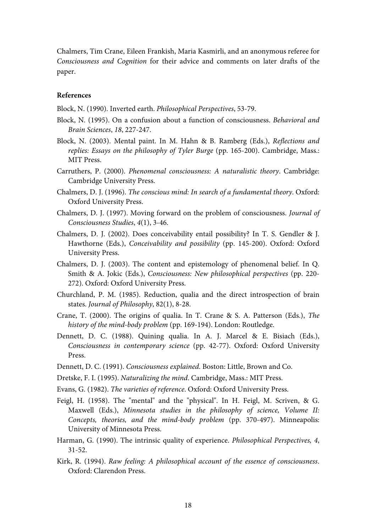Chalmers, Tim Crane, Eileen Frankish, Maria Kasmirli, and an anonymous referee for Consciousness and Cognition for their advice and comments on later drafts of the paper.

### **References**

Block, N. (1990). Inverted earth. Philosophical Perspectives, 53-79.

- Block, N. (1995). On a confusion about a function of consciousness. Behavioral and Brain Sciences, 18, 227-247.
- Block, N. (2003). Mental paint. In M. Hahn & B. Ramberg (Eds.), Reflections and replies: Essays on the philosophy of Tyler Burge (pp. 165-200). Cambridge, Mass.: MIT Press.
- Carruthers, P. (2000). Phenomenal consciousness: A naturalistic theory. Cambridge: Cambridge University Press.
- Chalmers, D. J. (1996). The conscious mind: In search of a fundamental theory. Oxford: Oxford University Press.
- Chalmers, D. J. (1997). Moving forward on the problem of consciousness. Journal of Consciousness Studies, 4(1), 3-46.
- Chalmers, D. J. (2002). Does conceivability entail possibility? In T. S. Gendler & J. Hawthorne (Eds.), Conceivability and possibility (pp. 145-200). Oxford: Oxford University Press.
- Chalmers, D. J. (2003). The content and epistemology of phenomenal belief. In Q. Smith & A. Jokic (Eds.), Consciousness: New philosophical perspectives (pp. 220- 272). Oxford: Oxford University Press.
- Churchland, P. M. (1985). Reduction, qualia and the direct introspection of brain states. Journal of Philosophy, 82(1), 8-28.
- Crane, T. (2000). The origins of qualia. In T. Crane & S. A. Patterson (Eds.), The history of the mind-body problem (pp. 169-194). London: Routledge.
- Dennett, D. C. (1988). Quining qualia. In A. J. Marcel & E. Bisiach (Eds.), Consciousness in contemporary science (pp. 42-77). Oxford: Oxford University Press.
- Dennett, D. C. (1991). Consciousness explained. Boston: Little, Brown and Co.
- Dretske, F. I. (1995). Naturalizing the mind. Cambridge, Mass.: MIT Press.
- Evans, G. (1982). The varieties of reference. Oxford: Oxford University Press.
- Feigl, H. (1958). The "mental" and the "physical". In H. Feigl, M. Scriven, & G. Maxwell (Eds.), Minnesota studies in the philosophy of science, Volume II: Concepts, theories, and the mind-body problem (pp. 370-497). Minneapolis: University of Minnesota Press.
- Harman, G. (1990). The intrinsic quality of experience. Philosophical Perspectives, 4, 31-52.
- Kirk, R. (1994). Raw feeling: A philosophical account of the essence of consciousness. Oxford: Clarendon Press.